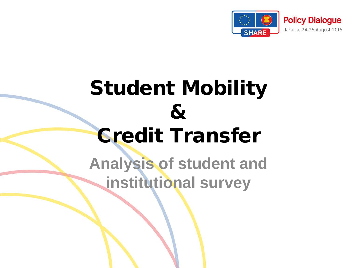

# Student Mobility & Credit Transfer

**Analysis of student and institutional survey**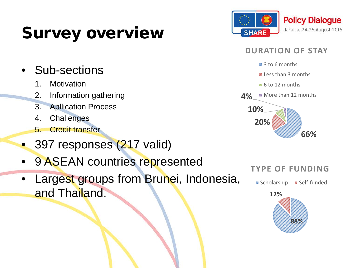## Survey overview



### **DURATION OF STAY**



- **Eless than 3 months**
- 6 to 12 months





## Sub-sections

- 1. Motivation
- 2. Information gathering
- 3. Apllication Process
- 4. Challenges
- 5. Credit transfer
- 397 responses (217 valid)
- 9 ASEAN countries represented
- Largest groups from Brunei, Indonesia, and Thailand.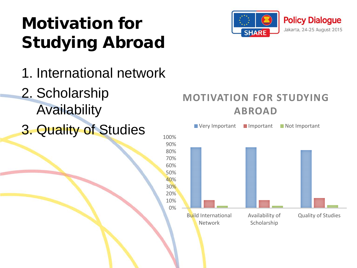# Motivation for Studying Abroad

- 1. International network
- 2. Scholarship Availability
- 3. Quality of Studies





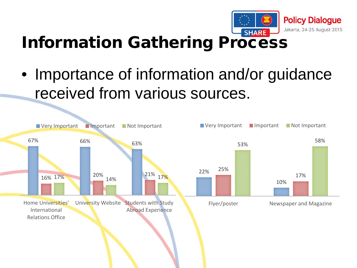

## Information Gathering Process

• Importance of information and/or guidance received from various sources.

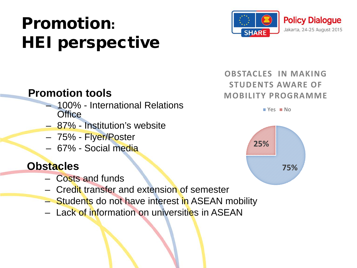# Promotion: HEI perspective



## **Promotion tools**

- 100% International Relations **Office**
- 87% Institution's website
- 75% Flyer/Poster
- 67% Social media

## **Obstacles**

- Costs and funds
- Credit transfer and extension of semester
- Students do not have interest in ASEAN mobility
- Lack of information on universities in ASEAN

### **OBSTACLES IN MAKING STUDENTS AWARE OF MOBILITY PROGRAMME**

**EX Yes EX No** 

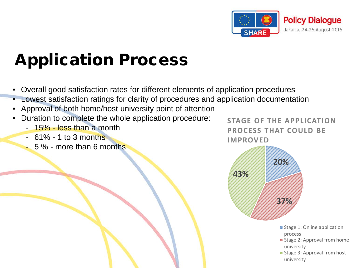

# Application Process

- Overall good satisfaction rates for different elements of application procedures
- Lowest satisfaction ratings for clarity of procedures and application documentation
- Approval of both home/host university point of attention
- Duration to complete the whole application procedure:
	- 15% less than a month
	- 61% 1 to 3 months
	- 5 % more than 6 months

**STAGE OF THE APPLICATION PROCESS THAT COULD BE IMPROVED**

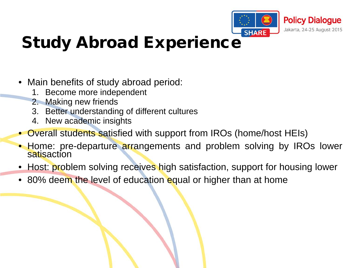

## Study Abroad Experience

- Main benefits of study abroad period:
	- 1. Become more independent
	- 2. Making new friends
	- 3. Better understanding of different cultures
	- 4. New academic insights
- Overall students satisfied with support from IROs (home/host HEIs)
- Home: pre-departure arrangements and problem solving by IROs lower satisaction
- Host: problem solving receives high satisfaction, support for housing lower
- 80% deem the level of education equal or higher than at home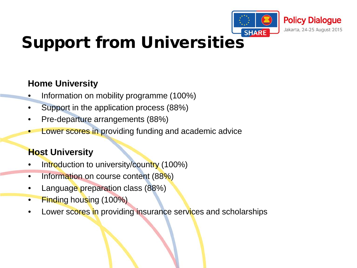

## Support from Universities

### **Home University**

- Information on mobility programme (100%)
- Support in the application process (88%)
- Pre-departure arrangements (88%)
- Lower scores in providing funding and academic advice

### **Host University**

- Introduction to university/country (100%)
- Information on course content (88%)
- Language preparation class (88%)
- Finding housing (100%)
- Lower scores in providing insurance services and scholarships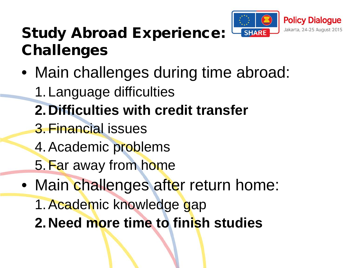

## Study Abroad Experience: Challenges

- Main challenges during time abroad:
	- 1.Language difficulties
	- **2.Difficulties with credit transfer**
	- 3.Financial issues
	- 4.Academic problems
	- 5.Far away from home
- Main challenges after return home:
	- 1.Academic knowledge gap
	- **2.Need more time to finish studies**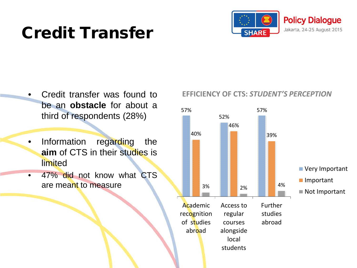## Credit Transfer



- Credit transfer was found to be an **obstacle** for about a third of respondents (28%)
- Information regarding the **aim** of CTS in their studies is limited
- 47% did not know what CTS are meant to measure

### **EFFICIENCY OF CTS:** *STUDENT'S PERCEPTION*

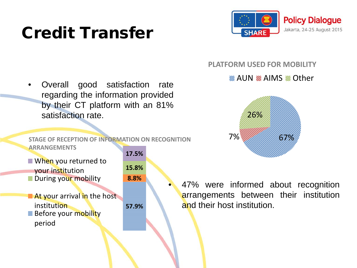## Credit Transfer



• Overall good satisfaction rate regarding the information provided by their CT platform with an 81% satisfaction rate.

**STAGE OF RECEPTION OF INFORMATION ON RECOGNITION ARRANGEMENTS**

 $\equiv$  When you returned to your institution ■ During your mobility

 $\equiv$  At your arrival in the host **institution**  $\equiv$  Before your mobility period

**57.9% 8.8% 15.8% 17.5%**

#### **PLATFORM USED FOR MOBILITY**

#### **<sup>2</sup> AUN 2 AIMS 2 Other**



47% were informed about recognition arrangements between their institution and their host institution.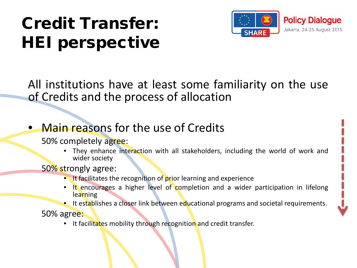# Credit Transfer: HEI perspective



All institutions have at least some familiarity on the use of Credits and the process of allocation

- Main reasons for the use of Credits
	- 50% completely agree:
		- They enhance interaction with all stakeholders, including the world of work and wider society

50% strongly agree:

- It facilitates the recognition of prior learning and experience
- It encourages a higher level of completion and a wider participation in lifelong learning
- **•** It establishes a closer link between educational programs and societal requirements.

50% agree:

• It facilitates mobility through recognition and credit transfer.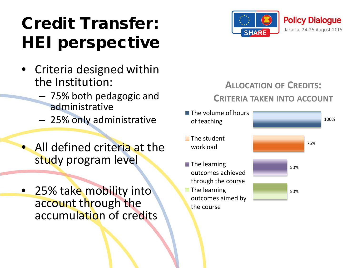# Credit Transfer: HEI perspective

- Criteria designed within the Institution:
	- 75% both pedagogic and administrative
	- 25% only administrative
- All defined criteria at the study program level
- 25% take mobility into account through the accumulation of credits



## **ALLOCATION OF CREDITS: CRITERIA TAKEN INTO ACCOUNT**

50% 50% 75% 100%  $\equiv$  The volume of hours of teaching  $\equiv$ The student workload  $\equiv$ The learning outcomes achieved through the course  $\equiv$ The learning outcomes aimed by

the course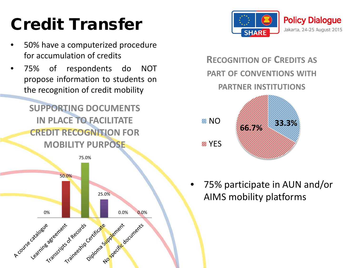# Credit Transfer

- 50% have a computerized procedure for accumulation of credits
- 75% of respondents do NOT propose information to students on the recognition of credit mobility

**SUPPORTING DOCUMENTS IN PLACE TO FACILITATE CREDIT RECOGNITION FOR MOBILITY PURPOSE**





**RECOGNITION OF CREDITS AS PART OF CONVENTIONS WITH PARTNER INSTITUTIONS**



• 75% participate in AUN and/or AIMS mobility platforms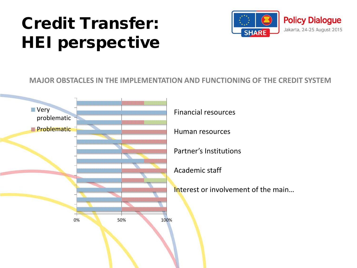# Credit Transfer: HEI perspective



#### **MAJOR OBSTACLES IN THE IMPLEMENTATION AND FUNCTIONING OF THE CREDIT SYSTEM**

problematic **III** Problematic

**Financial resources** The Communical Resources **TRANSPORTATION CONTINUES IN A REPORT OF A REPORT OF A REPORT OF A REPORT OF A REPORT OF A REPORT OF A REPORT O** <u> 1999 - 1999 - 1999 - 1999 - 1999 - 1999 - 1999 - 1999 - 1999 - 1999 - 1999 - 1999 - 1999 - 1999 - 1999 - 199</u> <u> A Maria Albania Albania Albania Albania Albania Albania Albania Albania Albania Albania Albania Albania Alba</u> <u> Alemania alemania alemania alemania alemania alemania</u> <u> A MARTIN ANDRE AN AN DE AN DE AN AN DE AN DE AN DE AN DE AN DE AN DE AN DE AN DE AN DE AN DE AN DE AN DE AN D</u> 0% 50% 100%

Human resources

Partner's Institutions

Academic staff

Interest or involvement of the main…